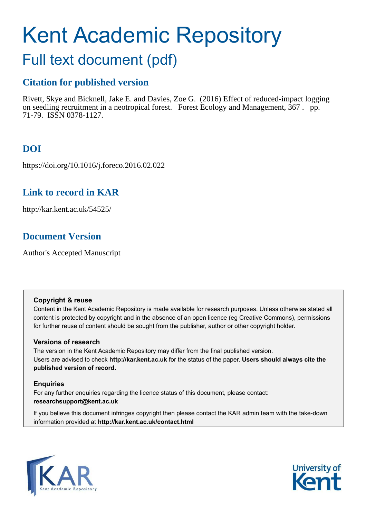# Kent Academic Repository

# Full text document (pdf)

# **Citation for published version**

Rivett, Skye and Bicknell, Jake E. and Davies, Zoe G. (2016) Effect of reduced-impact logging on seedling recruitment in a neotropical forest. Forest Ecology and Management, 367 . pp. 71-79. ISSN 0378-1127.

# **DOI**

https://doi.org/10.1016/j.foreco.2016.02.022

# **Link to record in KAR**

http://kar.kent.ac.uk/54525/

# **Document Version**

Author's Accepted Manuscript

# **Copyright & reuse**

Content in the Kent Academic Repository is made available for research purposes. Unless otherwise stated all content is protected by copyright and in the absence of an open licence (eg Creative Commons), permissions for further reuse of content should be sought from the publisher, author or other copyright holder.

# **Versions of research**

The version in the Kent Academic Repository may differ from the final published version. Users are advised to check **http://kar.kent.ac.uk** for the status of the paper. **Users should always cite the published version of record.**

# **Enquiries**

For any further enquiries regarding the licence status of this document, please contact: **researchsupport@kent.ac.uk**

If you believe this document infringes copyright then please contact the KAR admin team with the take-down information provided at **http://kar.kent.ac.uk/contact.html**



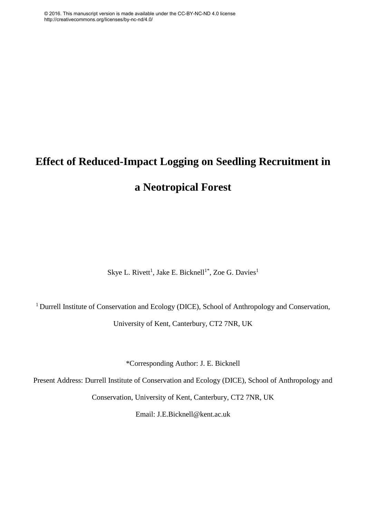# **Effect of Reduced-Impact Logging on Seedling Recruitment in a Neotropical Forest**

Skye L. Rivett<sup>1</sup>, Jake E. Bicknell<sup>1\*</sup>, Zoe G. Davies<sup>1</sup>

<sup>1</sup> Durrell Institute of Conservation and Ecology (DICE), School of Anthropology and Conservation, University of Kent, Canterbury, CT2 7NR, UK

\*Corresponding Author: J. E. Bicknell

Present Address: Durrell Institute of Conservation and Ecology (DICE), School of Anthropology and

Conservation, University of Kent, Canterbury, CT2 7NR, UK

Email: J.E.Bicknell@kent.ac.uk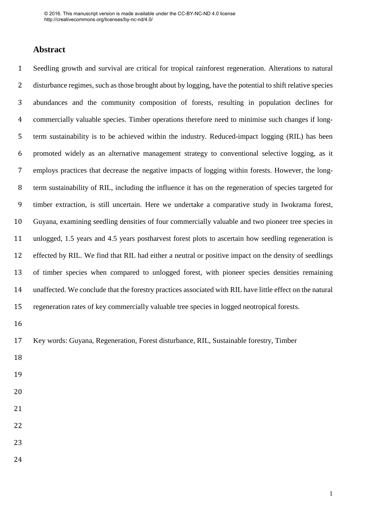# **Abstract**

Seedling growth and survival are critical for tropical rainforest regeneration. Alterations to natural disturbance regimes, such as those brought about by logging, have the potential to shift relative species abundances and the community composition of forests, resulting in population declines for commercially valuable species. Timber operations therefore need to minimise such changes if long-term sustainability is to be achieved within the industry. Reduced-impact logging (RIL) has been promoted widely as an alternative management strategy to conventional selective logging, as it employs practices that decrease the negative impacts of logging within forests. However, the long-term sustainability of RIL, including the influence it has on the regeneration of species targeted for timber extraction, is still uncertain. Here we undertake a comparative study in Iwokrama forest, Guyana, examining seedling densities of four commercially valuable and two pioneer tree species in unlogged, 1.5 years and 4.5 years postharvest forest plots to ascertain how seedling regeneration is effected by RIL. We find that RIL had either a neutral or positive impact on the density of seedlings of timber species when compared to unlogged forest, with pioneer species densities remaining unaffected. We conclude that the forestry practices associated with RIL have little effect on the natural regeneration rates of key commercially valuable tree species in logged neotropical forests. Key words: Guyana, Regeneration, Forest disturbance, RIL, Sustainable forestry, Timber

- 
- 
- 
- 
- 
- 
-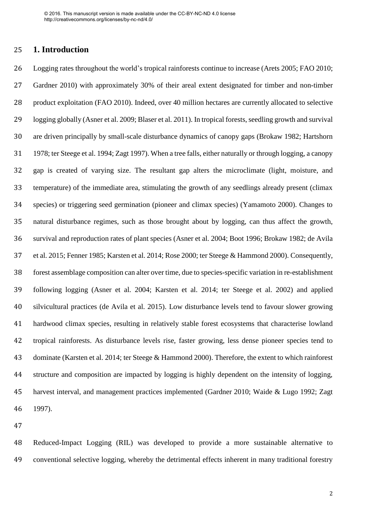# **1. Introduction**

 Logging rates throughout the world's tropical rainforests continue to increase (Arets 2005; FAO 2010; Gardner 2010) with approximately 30% of their areal extent designated for timber and non-timber product exploitation (FAO 2010). Indeed, over 40 million hectares are currently allocated to selective logging globally (Asner et al. 2009; Blaser et al. 2011). In tropical forests, seedling growth and survival are driven principally by small-scale disturbance dynamics of canopy gaps (Brokaw 1982; Hartshorn 1978; ter Steege et al. 1994; Zagt 1997). When a tree falls, either naturally or through logging, a canopy gap is created of varying size. The resultant gap alters the microclimate (light, moisture, and temperature) of the immediate area, stimulating the growth of any seedlings already present (climax species) or triggering seed germination (pioneer and climax species) (Yamamoto 2000). Changes to natural disturbance regimes, such as those brought about by logging, can thus affect the growth, survival and reproduction rates of plant species (Asner et al. 2004; Boot 1996; Brokaw 1982; de Avila et al. 2015; Fenner 1985; Karsten et al. 2014; Rose 2000; ter Steege & Hammond 2000). Consequently, forest assemblage composition can alter over time, due to species-specific variation in re-establishment following logging (Asner et al. 2004; Karsten et al. 2014; ter Steege et al. 2002) and applied silvicultural practices (de Avila et al. 2015). Low disturbance levels tend to favour slower growing hardwood climax species, resulting in relatively stable forest ecosystems that characterise lowland tropical rainforests. As disturbance levels rise, faster growing, less dense pioneer species tend to dominate (Karsten et al. 2014; ter Steege & Hammond 2000). Therefore, the extent to which rainforest structure and composition are impacted by logging is highly dependent on the intensity of logging, harvest interval, and management practices implemented (Gardner 2010; Waide & Lugo 1992; Zagt 1997).

 Reduced-Impact Logging (RIL) was developed to provide a more sustainable alternative to conventional selective logging, whereby the detrimental effects inherent in many traditional forestry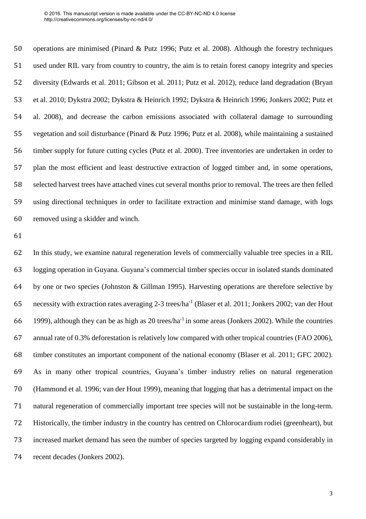operations are minimised (Pinard & Putz 1996; Putz et al. 2008). Although the forestry techniques used under RIL vary from country to country, the aim is to retain forest canopy integrity and species diversity (Edwards et al. 2011; Gibson et al. 2011; Putz et al. 2012), reduce land degradation (Bryan et al. 2010; Dykstra 2002; Dykstra & Heinrich 1992; Dykstra & Heinrich 1996; Jonkers 2002; Putz et al. 2008), and decrease the carbon emissions associated with collateral damage to surrounding vegetation and soil disturbance (Pinard & Putz 1996; Putz et al. 2008), while maintaining a sustained timber supply for future cutting cycles (Putz et al. 2000). Tree inventories are undertaken in order to plan the most efficient and least destructive extraction of logged timber and, in some operations, selected harvest trees have attached vines cut several months prior to removal. The trees are then felled using directional techniques in order to facilitate extraction and minimise stand damage, with logs removed using a skidder and winch.

 In this study, we examine natural regeneration levels of commercially valuable tree species in a RIL logging operation in Guyana. Guyana's commercial timber species occur in isolated stands dominated by one or two species (Johnston & Gillman 1995). Harvesting operations are therefore selective by 65 necessity with extraction rates averaging  $2-3$  trees/ha<sup>-1</sup> (Blaser et al. 2011; Jonkers 2002; van der Hout 66 1999), although they can be as high as 20 trees/ha<sup>-1</sup> in some areas (Jonkers 2002). While the countries annual rate of 0.3% deforestation is relatively low compared with other tropical countries (FAO 2006), timber constitutes an important component of the national economy (Blaser et al. 2011; GFC 2002). As in many other tropical countries, Guyana's timber industry relies on natural regeneration (Hammond et al. 1996; van der Hout 1999), meaning that logging that has a detrimental impact on the natural regeneration of commercially important tree species will not be sustainable in the long-term. Historically, the timber industry in the country has centred on Chlorocardium rodiei (greenheart), but increased market demand has seen the number of species targeted by logging expand considerably in recent decades (Jonkers 2002).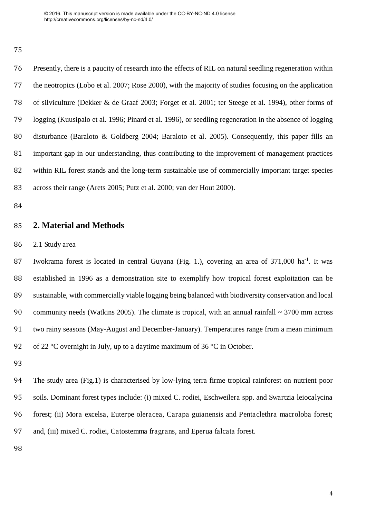Presently, there is a paucity of research into the effects of RIL on natural seedling regeneration within the neotropics (Lobo et al. 2007; Rose 2000), with the majority of studies focusing on the application of silviculture (Dekker & de Graaf 2003; Forget et al. 2001; ter Steege et al. 1994), other forms of logging (Kuusipalo et al. 1996; Pinard et al. 1996), or seedling regeneration in the absence of logging disturbance (Baraloto & Goldberg 2004; Baraloto et al. 2005). Consequently, this paper fills an important gap in our understanding, thus contributing to the improvement of management practices within RIL forest stands and the long-term sustainable use of commercially important target species across their range (Arets 2005; Putz et al. 2000; van der Hout 2000).

# **2. Material and Methods**

2.1 Study area

87 Iwokrama forest is located in central Guyana (Fig. 1.), covering an area of 371,000 ha<sup>-1</sup>. It was established in 1996 as a demonstration site to exemplify how tropical forest exploitation can be sustainable, with commercially viable logging being balanced with biodiversity conservation and local 90 community needs (Watkins 2005). The climate is tropical, with an annual rainfall  $\sim$  3700 mm across two rainy seasons (May-August and December-January). Temperatures range from a mean minimum 92 of 22  $\degree$ C overnight in July, up to a daytime maximum of 36  $\degree$ C in October.

 The study area (Fig.1) is characterised by low-lying terra firme tropical rainforest on nutrient poor soils. Dominant forest types include: (i) mixed C. rodiei, Eschweilera spp. and Swartzia leiocalycina forest; (ii) Mora excelsa, Euterpe oleracea, Carapa guianensis and Pentaclethra macroloba forest; and, (iii) mixed C. rodiei, Catostemma fragrans, and Eperua falcata forest.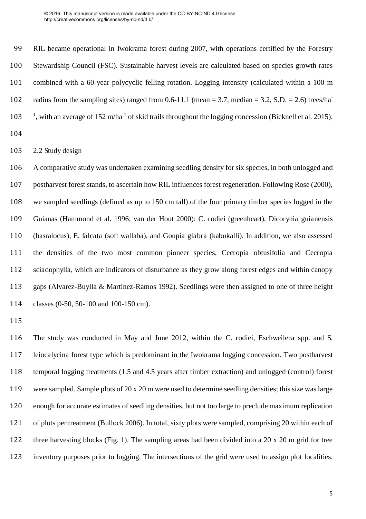RIL became operational in Iwokrama forest during 2007, with operations certified by the Forestry Stewardship Council (FSC). Sustainable harvest levels are calculated based on species growth rates combined with a 60-year polycyclic felling rotation. Logging intensity (calculated within a 100 m 102 radius from the sampling sites) ranged from  $0.6-11.1$  (mean = 3.7, median = 3.2, S.D. = 2.6) trees/ha<sup>-</sup>  $\frac{1}{1}$ , with an average of 152 m/ha<sup>-1</sup> of skid trails throughout the logging concession (Bicknell et al. 2015).

- 
- 2.2 Study design

 A comparative study was undertaken examining seedling density for six species, in both unlogged and postharvest forest stands, to ascertain how RIL influences forest regeneration. Following Rose (2000), we sampled seedlings (defined as up to 150 cm tall) of the four primary timber species logged in the Guianas (Hammond et al. 1996; van der Hout 2000): C. rodiei (greenheart), Dicorynia guianensis (basralocus), E. falcata (soft wallaba), and Goupia glabra (kabukalli). In addition, we also assessed the densities of the two most common pioneer species, Cecropia obtusifolia and Cecropia sciadophylla, which are indicators of disturbance as they grow along forest edges and within canopy gaps (Alvarez-Buylla & Martinez-Ramos 1992). Seedlings were then assigned to one of three height classes (0-50, 50-100 and 100-150 cm).

 The study was conducted in May and June 2012, within the C. rodiei, Eschweilera spp. and S. leiocalycina forest type which is predominant in the Iwokrama logging concession. Two postharvest temporal logging treatments (1.5 and 4.5 years after timber extraction) and unlogged (control) forest were sampled. Sample plots of 20 x 20 m were used to determine seedling densities; this size was large enough for accurate estimates of seedling densities, but not too large to preclude maximum replication of plots per treatment (Bullock 2006). In total, sixty plots were sampled, comprising 20 within each of three harvesting blocks (Fig. 1). The sampling areas had been divided into a 20 x 20 m grid for tree inventory purposes prior to logging. The intersections of the grid were used to assign plot localities,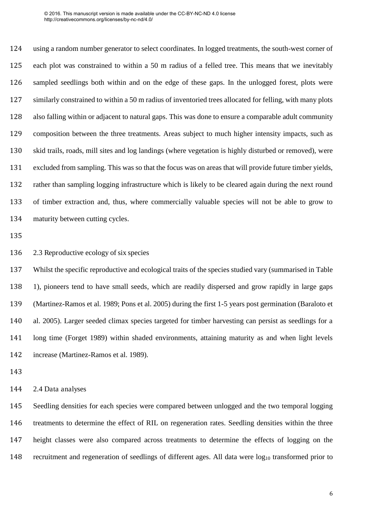using a random number generator to select coordinates. In logged treatments, the south-west corner of each plot was constrained to within a 50 m radius of a felled tree. This means that we inevitably sampled seedlings both within and on the edge of these gaps. In the unlogged forest, plots were similarly constrained to within a 50 m radius of inventoried trees allocated for felling, with many plots also falling within or adjacent to natural gaps. This was done to ensure a comparable adult community composition between the three treatments. Areas subject to much higher intensity impacts, such as skid trails, roads, mill sites and log landings (where vegetation is highly disturbed or removed), were excluded from sampling. This was so that the focus was on areas that will provide future timber yields, rather than sampling logging infrastructure which is likely to be cleared again during the next round of timber extraction and, thus, where commercially valuable species will not be able to grow to maturity between cutting cycles.

### 2.3 Reproductive ecology of six species

 Whilst the specific reproductive and ecological traits of the species studied vary (summarised in Table 1), pioneers tend to have small seeds, which are readily dispersed and grow rapidly in large gaps (Martinez-Ramos et al. 1989; Pons et al. 2005) during the first 1-5 years post germination (Baraloto et al. 2005). Larger seeded climax species targeted for timber harvesting can persist as seedlings for a long time (Forget 1989) within shaded environments, attaining maturity as and when light levels increase (Martinez-Ramos et al. 1989).

2.4 Data analyses

 Seedling densities for each species were compared between unlogged and the two temporal logging treatments to determine the effect of RIL on regeneration rates. Seedling densities within the three height classes were also compared across treatments to determine the effects of logging on the 148 recruitment and regeneration of seedlings of different ages. All data were log<sub>10</sub> transformed prior to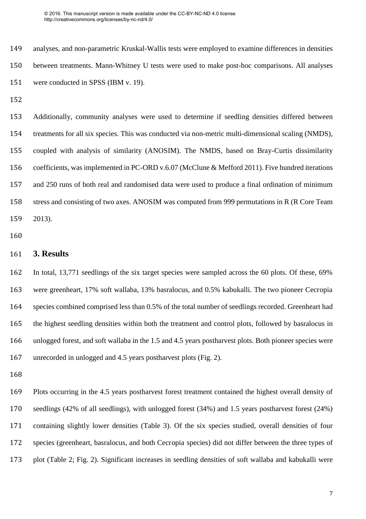analyses, and non-parametric Kruskal-Wallis tests were employed to examine differences in densities between treatments. Mann-Whitney U tests were used to make post-hoc comparisons. All analyses were conducted in SPSS (IBM v. 19).

 Additionally, community analyses were used to determine if seedling densities differed between treatments for all six species. This was conducted via non-metric multi-dimensional scaling (NMDS), coupled with analysis of similarity (ANOSIM). The NMDS, based on Bray-Curtis dissimilarity coefficients, was implemented in PC-ORD v.6.07 (McClune & Mefford 2011). Five hundred iterations and 250 runs of both real and randomised data were used to produce a final ordination of minimum 158 stress and consisting of two axes. ANOSIM was computed from 999 permutations in R (R Core Team 2013).

## **3. Results**

 In total, 13,771 seedlings of the six target species were sampled across the 60 plots. Of these, 69% were greenheart, 17% soft wallaba, 13% basralocus, and 0.5% kabukalli. The two pioneer Cecropia species combined comprised less than 0.5% of the total number of seedlings recorded. Greenheart had the highest seedling densities within both the treatment and control plots, followed by basralocus in unlogged forest, and soft wallaba in the 1.5 and 4.5 years postharvest plots. Both pioneer species were unrecorded in unlogged and 4.5 years postharvest plots (Fig. 2).

 Plots occurring in the 4.5 years postharvest forest treatment contained the highest overall density of seedlings (42% of all seedlings), with unlogged forest (34%) and 1.5 years postharvest forest (24%) containing slightly lower densities (Table 3). Of the six species studied, overall densities of four species (greenheart, basralocus, and both Cecropia species) did not differ between the three types of plot (Table 2; Fig. 2). Significant increases in seedling densities of soft wallaba and kabukalli were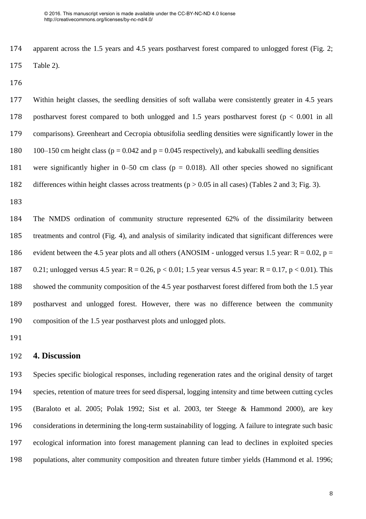apparent across the 1.5 years and 4.5 years postharvest forest compared to unlogged forest (Fig. 2; Table 2).

 Within height classes, the seedling densities of soft wallaba were consistently greater in 4.5 years postharvest forest compared to both unlogged and 1.5 years postharvest forest (p < 0.001 in all comparisons). Greenheart and Cecropia obtusifolia seedling densities were significantly lower in the 180 100–150 cm height class ( $p = 0.042$  and  $p = 0.045$  respectively), and kabukalli seedling densities were significantly higher in 0–50 cm class (p = 0.018). All other species showed no significant differences within height classes across treatments (p > 0.05 in all cases) (Tables 2 and 3; Fig. 3). The NMDS ordination of community structure represented 62% of the dissimilarity between

 treatments and control (Fig. 4), and analysis of similarity indicated that significant differences were 186 evident between the 4.5 year plots and all others (ANOSIM - unlogged versus 1.5 year:  $R = 0.02$ ,  $p =$ 187 0.21; unlogged versus 4.5 year:  $R = 0.26$ ,  $p < 0.01$ ; 1.5 year versus 4.5 year:  $R = 0.17$ ,  $p < 0.01$ ). This showed the community composition of the 4.5 year postharvest forest differed from both the 1.5 year postharvest and unlogged forest. However, there was no difference between the community composition of the 1.5 year postharvest plots and unlogged plots.

# **4. Discussion**

 Species specific biological responses, including regeneration rates and the original density of target species, retention of mature trees for seed dispersal, logging intensity and time between cutting cycles (Baraloto et al. 2005; Polak 1992; Sist et al. 2003, ter Steege & Hammond 2000), are key considerations in determining the long-term sustainability of logging. A failure to integrate such basic ecological information into forest management planning can lead to declines in exploited species populations, alter community composition and threaten future timber yields (Hammond et al. 1996;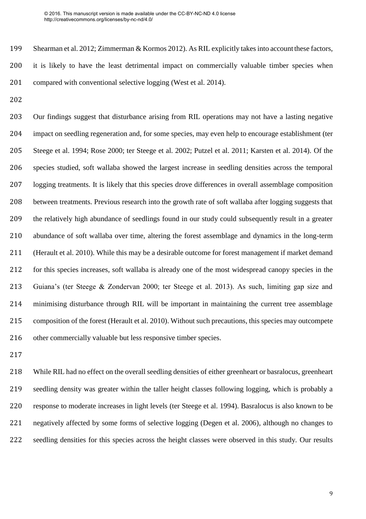Shearman et al. 2012; Zimmerman & Kormos 2012). As RIL explicitly takes into account these factors, it is likely to have the least detrimental impact on commercially valuable timber species when compared with conventional selective logging (West et al. 2014).

 Our findings suggest that disturbance arising from RIL operations may not have a lasting negative impact on seedling regeneration and, for some species, may even help to encourage establishment (ter Steege et al. 1994; Rose 2000; ter Steege et al. 2002; Putzel et al. 2011; Karsten et al. 2014). Of the species studied, soft wallaba showed the largest increase in seedling densities across the temporal logging treatments. It is likely that this species drove differences in overall assemblage composition between treatments. Previous research into the growth rate of soft wallaba after logging suggests that the relatively high abundance of seedlings found in our study could subsequently result in a greater abundance of soft wallaba over time, altering the forest assemblage and dynamics in the long-term (Herault et al. 2010). While this may be a desirable outcome for forest management if market demand for this species increases, soft wallaba is already one of the most widespread canopy species in the Guiana's (ter Steege & Zondervan 2000; ter Steege et al. 2013). As such, limiting gap size and minimising disturbance through RIL will be important in maintaining the current tree assemblage composition of the forest (Herault et al. 2010). Without such precautions, this species may outcompete other commercially valuable but less responsive timber species.

 While RIL had no effect on the overall seedling densities of either greenheart or basralocus, greenheart seedling density was greater within the taller height classes following logging, which is probably a response to moderate increases in light levels (ter Steege et al. 1994). Basralocus is also known to be negatively affected by some forms of selective logging (Degen et al. 2006), although no changes to seedling densities for this species across the height classes were observed in this study. Our results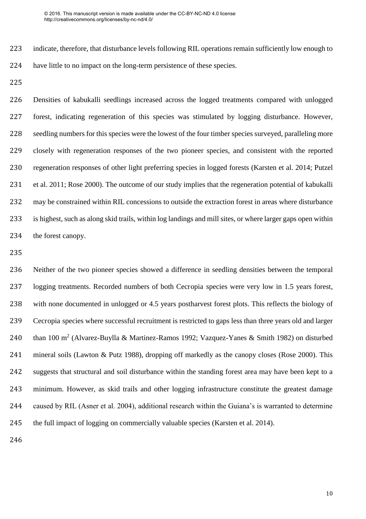indicate, therefore, that disturbance levels following RIL operations remain sufficiently low enough to have little to no impact on the long-term persistence of these species.

 Densities of kabukalli seedlings increased across the logged treatments compared with unlogged forest, indicating regeneration of this species was stimulated by logging disturbance. However, seedling numbers for this species were the lowest of the four timber species surveyed, paralleling more closely with regeneration responses of the two pioneer species, and consistent with the reported regeneration responses of other light preferring species in logged forests (Karsten et al. 2014; Putzel et al. 2011; Rose 2000). The outcome of our study implies that the regeneration potential of kabukalli may be constrained within RIL concessions to outside the extraction forest in areas where disturbance is highest, such as along skid trails, within log landings and mill sites, or where larger gaps open within the forest canopy.

 Neither of the two pioneer species showed a difference in seedling densities between the temporal logging treatments. Recorded numbers of both Cecropia species were very low in 1.5 years forest, with none documented in unlogged or 4.5 years postharvest forest plots. This reflects the biology of Cecropia species where successful recruitment is restricted to gaps less than three years old and larger 240 than 100 m<sup>2</sup> (Alvarez-Buylla & Martinez-Ramos 1992; Vazquez-Yanes & Smith 1982) on disturbed 241 mineral soils (Lawton & Putz 1988), dropping off markedly as the canopy closes (Rose 2000). This suggests that structural and soil disturbance within the standing forest area may have been kept to a minimum. However, as skid trails and other logging infrastructure constitute the greatest damage caused by RIL (Asner et al. 2004), additional research within the Guiana's is warranted to determine the full impact of logging on commercially valuable species (Karsten et al. 2014).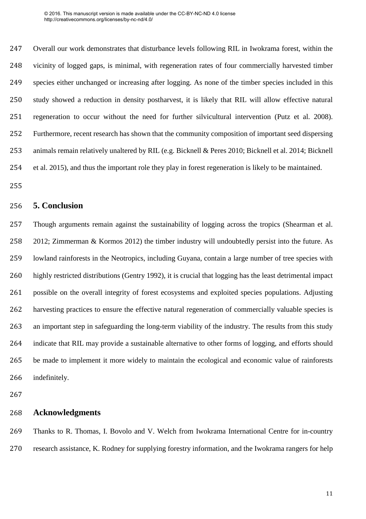Overall our work demonstrates that disturbance levels following RIL in Iwokrama forest, within the vicinity of logged gaps, is minimal, with regeneration rates of four commercially harvested timber species either unchanged or increasing after logging. As none of the timber species included in this study showed a reduction in density postharvest, it is likely that RIL will allow effective natural regeneration to occur without the need for further silvicultural intervention (Putz et al. 2008). Furthermore, recent research has shown that the community composition of important seed dispersing animals remain relatively unaltered by RIL (e.g. Bicknell & Peres 2010; Bicknell et al. 2014; Bicknell et al. 2015), and thus the important role they play in forest regeneration is likely to be maintained.

# **5. Conclusion**

 Though arguments remain against the sustainability of logging across the tropics (Shearman et al. 2012; Zimmerman & Kormos 2012) the timber industry will undoubtedly persist into the future. As lowland rainforests in the Neotropics, including Guyana, contain a large number of tree species with highly restricted distributions (Gentry 1992), it is crucial that logging has the least detrimental impact possible on the overall integrity of forest ecosystems and exploited species populations. Adjusting harvesting practices to ensure the effective natural regeneration of commercially valuable species is an important step in safeguarding the long-term viability of the industry. The results from this study indicate that RIL may provide a sustainable alternative to other forms of logging, and efforts should be made to implement it more widely to maintain the ecological and economic value of rainforests indefinitely.

# **Acknowledgments**

 Thanks to R. Thomas, I. Bovolo and V. Welch from Iwokrama International Centre for in-country research assistance, K. Rodney for supplying forestry information, and the Iwokrama rangers for help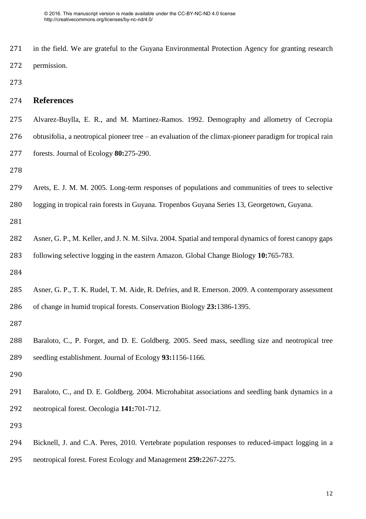- in the field. We are grateful to the Guyana Environmental Protection Agency for granting research permission.
- 

# **References**

- Alvarez-Buylla, E. R., and M. Martinez-Ramos. 1992. Demography and allometry of Cecropia obtusifolia, a neotropical pioneer tree – an evaluation of the climax-pioneer paradigm for tropical rain
- forests. Journal of Ecology **80:**275-290.
- 
- Arets, E. J. M. M. 2005. Long-term responses of populations and communities of trees to selective
- logging in tropical rain forests in Guyana. Tropenbos Guyana Series 13, Georgetown, Guyana.
- 
- Asner, G. P., M. Keller, and J. N. M. Silva. 2004. Spatial and temporal dynamics of forest canopy gaps
- following selective logging in the eastern Amazon. Global Change Biology **10:**765-783.
- 
- Asner, G. P., T. K. Rudel, T. M. Aide, R. Defries, and R. Emerson. 2009. A contemporary assessment of change in humid tropical forests. Conservation Biology **23:**1386-1395.
- 
- Baraloto, C., P. Forget, and D. E. Goldberg. 2005. Seed mass, seedling size and neotropical tree seedling establishment. Journal of Ecology **93:**1156-1166.
- 
- Baraloto, C., and D. E. Goldberg. 2004. Microhabitat associations and seedling bank dynamics in a neotropical forest. Oecologia **141:**701-712.
- 
- Bicknell, J. and C.A. Peres, 2010. Vertebrate population responses to reduced-impact logging in a
- neotropical forest. Forest Ecology and Management **259:**2267-2275.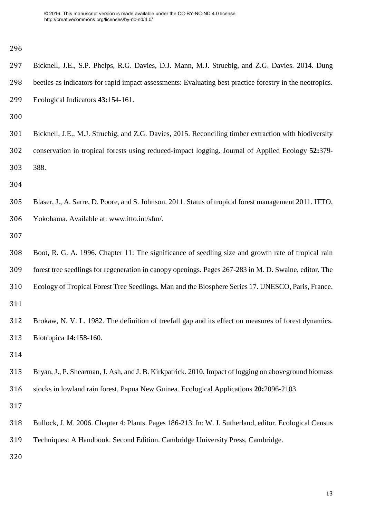| 297 | Bicknell, J.E., S.P. Phelps, R.G. Davies, D.J. Mann, M.J. Struebig, and Z.G. Davies. 2014. Dung          |
|-----|----------------------------------------------------------------------------------------------------------|
| 298 | beetles as indicators for rapid impact assessments: Evaluating best practice forestry in the neotropics. |
| 299 | Ecological Indicators 43:154-161.                                                                        |
| 300 |                                                                                                          |
| 301 | Bicknell, J.E., M.J. Struebig, and Z.G. Davies, 2015. Reconciling timber extraction with biodiversity    |
| 302 | conservation in tropical forests using reduced-impact logging. Journal of Applied Ecology 52:379-        |
| 303 | 388.                                                                                                     |
| 304 |                                                                                                          |
| 305 | Blaser, J., A. Sarre, D. Poore, and S. Johnson. 2011. Status of tropical forest management 2011. ITTO,   |
| 306 | Yokohama. Available at: www.itto.int/sfm/.                                                               |
| 307 |                                                                                                          |
| 308 | Boot, R. G. A. 1996. Chapter 11: The significance of seedling size and growth rate of tropical rain      |
| 309 | forest tree seedlings for regeneration in canopy openings. Pages 267-283 in M. D. Swaine, editor. The    |
| 310 | Ecology of Tropical Forest Tree Seedlings. Man and the Biosphere Series 17. UNESCO, Paris, France.       |
| 311 |                                                                                                          |
| 312 | Brokaw, N. V. L. 1982. The definition of treefall gap and its effect on measures of forest dynamics.     |
| 313 | Biotropica 14:158-160.                                                                                   |
| 314 |                                                                                                          |
| 315 | Bryan, J., P. Shearman, J. Ash, and J. B. Kirkpatrick. 2010. Impact of logging on above ground biomass   |
| 316 | stocks in lowland rain forest, Papua New Guinea. Ecological Applications 20:2096-2103.                   |
| 317 |                                                                                                          |
| 318 | Bullock, J. M. 2006. Chapter 4: Plants. Pages 186-213. In: W. J. Sutherland, editor. Ecological Census   |
| 319 | Techniques: A Handbook. Second Edition. Cambridge University Press, Cambridge.                           |
| 320 |                                                                                                          |
|     |                                                                                                          |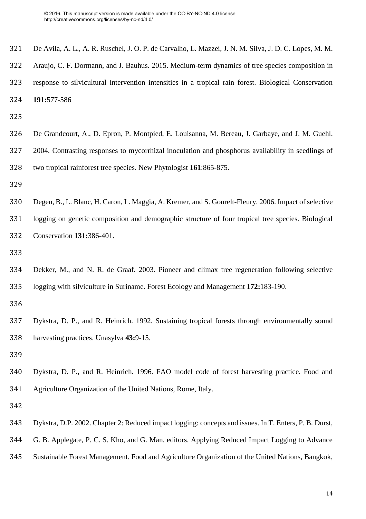| 321 | De Avila, A. L., A. R. Ruschel, J. O. P. de Carvalho, L. Mazzei, J. N. M. Silva, J. D. C. Lopes, M. M. |
|-----|--------------------------------------------------------------------------------------------------------|
| 322 | Araujo, C. F. Dormann, and J. Bauhus. 2015. Medium-term dynamics of tree species composition in        |
| 323 | response to silvicultural intervention intensities in a tropical rain forest. Biological Conservation  |
| 324 | 191:577-586                                                                                            |
| 325 |                                                                                                        |
| 326 | De Grandcourt, A., D. Epron, P. Montpied, E. Louisanna, M. Bereau, J. Garbaye, and J. M. Guehl.        |
| 327 | 2004. Contrasting responses to mycorrhizal inoculation and phosphorus availability in seedlings of     |
| 328 | two tropical rainforest tree species. New Phytologist 161:865-875.                                     |
| 329 |                                                                                                        |
| 330 | Degen, B., L. Blanc, H. Caron, L. Maggia, A. Kremer, and S. Gourelt-Fleury. 2006. Impact of selective  |
| 331 | logging on genetic composition and demographic structure of four tropical tree species. Biological     |
| 332 | Conservation 131:386-401.                                                                              |
| 333 |                                                                                                        |
| 334 | Dekker, M., and N. R. de Graaf. 2003. Pioneer and climax tree regeneration following selective         |
| 335 | logging with silviculture in Suriname. Forest Ecology and Management 172:183-190.                      |
| 336 |                                                                                                        |
| 337 | Dykstra, D. P., and R. Heinrich. 1992. Sustaining tropical forests through environmentally sound       |
| 338 | harvesting practices. Unasylva 43:9-15.                                                                |
| 339 |                                                                                                        |
| 340 | Dykstra, D. P., and R. Heinrich. 1996. FAO model code of forest harvesting practice. Food and          |
| 341 | Agriculture Organization of the United Nations, Rome, Italy.                                           |
| 342 |                                                                                                        |
| 343 | Dykstra, D.P. 2002. Chapter 2: Reduced impact logging: concepts and issues. In T. Enters, P. B. Durst, |
| 344 | G. B. Applegate, P. C. S. Kho, and G. Man, editors. Applying Reduced Impact Logging to Advance         |

Sustainable Forest Management. Food and Agriculture Organization of the United Nations, Bangkok,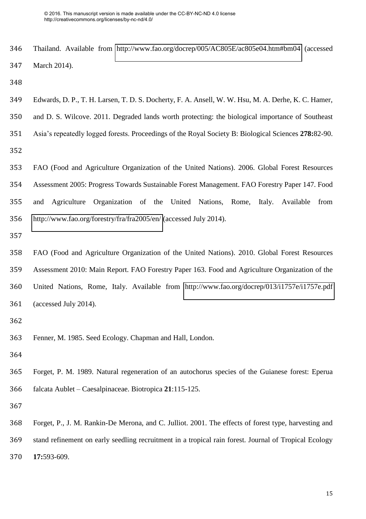Thailand. Available from <http://www.fao.org/docrep/005/AC805E/ac805e04.htm#bm04>(accessed March 2014).

- Edwards, D. P., T. H. Larsen, T. D. S. Docherty, F. A. Ansell, W. W. Hsu, M. A. Derhe, K. C. Hamer,
- and D. S. Wilcove. 2011. Degraded lands worth protecting: the biological importance of Southeast
- Asia's repeatedly logged forests. Proceedings of the Royal Society B: Biological Sciences **278:**82-90.

 FAO (Food and Agriculture Organization of the United Nations). 2006. Global Forest Resources Assessment 2005: Progress Towards Sustainable Forest Management. FAO Forestry Paper 147. Food and Agriculture Organization of the United Nations, Rome, Italy. Available from <http://www.fao.org/forestry/fra/fra2005/en/>(accessed July 2014).

 FAO (Food and Agriculture Organization of the United Nations). 2010. Global Forest Resources Assessment 2010: Main Report. FAO Forestry Paper 163. Food and Agriculture Organization of the United Nations, Rome, Italy. Available from <http://www.fao.org/docrep/013/i1757e/i1757e.pdf> (accessed July 2014).

Fenner, M. 1985. Seed Ecology. Chapman and Hall, London.

 Forget, P. M. 1989. Natural regeneration of an autochorus species of the Guianese forest: Eperua falcata Aublet – Caesalpinaceae. Biotropica **21**:115-125.

 Forget, P., J. M. Rankin-De Merona, and C. Julliot. 2001. The effects of forest type, harvesting and stand refinement on early seedling recruitment in a tropical rain forest. Journal of Tropical Ecology **17:**593-609.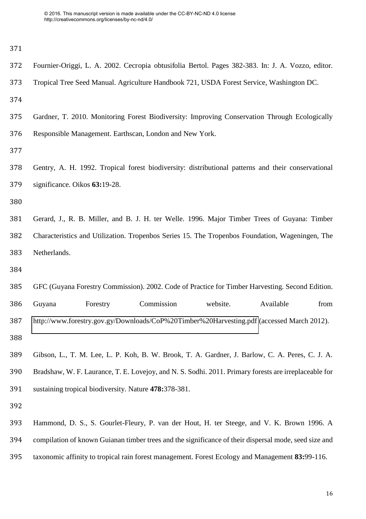| 372 | Fournier-Origgi, L. A. 2002. Cecropia obtusifolia Bertol. Pages 382-383. In: J. A. Vozzo, editor.     |  |  |  |  |  |  |  |
|-----|-------------------------------------------------------------------------------------------------------|--|--|--|--|--|--|--|
| 373 | Tropical Tree Seed Manual. Agriculture Handbook 721, USDA Forest Service, Washington DC.              |  |  |  |  |  |  |  |
| 374 |                                                                                                       |  |  |  |  |  |  |  |
| 375 | Gardner, T. 2010. Monitoring Forest Biodiversity: Improving Conservation Through Ecologically         |  |  |  |  |  |  |  |
| 376 | Responsible Management. Earthscan, London and New York.                                               |  |  |  |  |  |  |  |
| 377 |                                                                                                       |  |  |  |  |  |  |  |
| 378 | Gentry, A. H. 1992. Tropical forest biodiversity: distributional patterns and their conservational    |  |  |  |  |  |  |  |
| 379 | significance. Oikos 63:19-28.                                                                         |  |  |  |  |  |  |  |
| 380 |                                                                                                       |  |  |  |  |  |  |  |
| 381 | Gerard, J., R. B. Miller, and B. J. H. ter Welle. 1996. Major Timber Trees of Guyana: Timber          |  |  |  |  |  |  |  |
| 382 | Characteristics and Utilization. Tropenbos Series 15. The Tropenbos Foundation, Wageningen, The       |  |  |  |  |  |  |  |
| 383 | Netherlands.                                                                                          |  |  |  |  |  |  |  |
| 384 |                                                                                                       |  |  |  |  |  |  |  |
| 385 | GFC (Guyana Forestry Commission). 2002. Code of Practice for Timber Harvesting. Second Edition.       |  |  |  |  |  |  |  |
| 386 | Commission<br>Forestry<br>website.<br>Available<br>from<br>Guyana                                     |  |  |  |  |  |  |  |
| 387 | http://www.forestry.gov.gy/Downloads/CoP%20Timber%20Harvesting.pdf (accessed March 2012).             |  |  |  |  |  |  |  |
| 388 |                                                                                                       |  |  |  |  |  |  |  |
| 389 | Gibson, L., T. M. Lee, L. P. Koh, B. W. Brook, T. A. Gardner, J. Barlow, C. A. Peres, C. J. A.        |  |  |  |  |  |  |  |
| 390 | Bradshaw, W. F. Laurance, T. E. Lovejoy, and N. S. Sodhi. 2011. Primary forests are irreplaceable for |  |  |  |  |  |  |  |
| 391 | sustaining tropical biodiversity. Nature 478:378-381.                                                 |  |  |  |  |  |  |  |
| 392 |                                                                                                       |  |  |  |  |  |  |  |
| 393 | Hammond, D. S., S. Gourlet-Fleury, P. van der Hout, H. ter Steege, and V. K. Brown 1996. A            |  |  |  |  |  |  |  |
| 394 | compilation of known Guianan timber trees and the significance of their dispersal mode, seed size and |  |  |  |  |  |  |  |
| 395 | taxonomic affinity to tropical rain forest management. Forest Ecology and Management 83:99-116.       |  |  |  |  |  |  |  |
|     |                                                                                                       |  |  |  |  |  |  |  |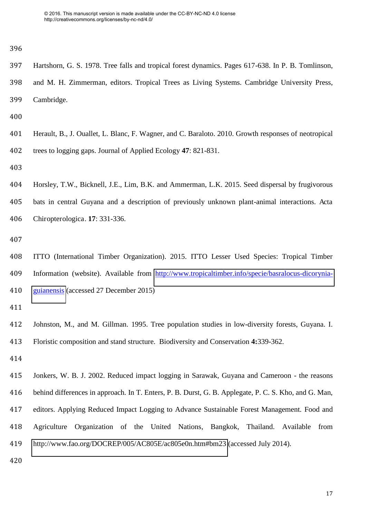- Hartshorn, G. S. 1978. Tree falls and tropical forest dynamics. Pages 617-638. In P. B. Tomlinson, and M. H. Zimmerman, editors. Tropical Trees as Living Systems. Cambridge University Press, Cambridge.
- 
- Herault, B., J. Ouallet, L. Blanc, F. Wagner, and C. Baraloto. 2010. Growth responses of neotropical trees to logging gaps. Journal of Applied Ecology **47**: 821-831.
- 
- Horsley, T.W., Bicknell, J.E., Lim, B.K. and Ammerman, L.K. 2015. Seed dispersal by frugivorous
- bats in central Guyana and a description of previously unknown plant-animal interactions. Acta Chiropterologica. **17**: 331-336.
- 
- ITTO (International Timber Organization). 2015. ITTO Lesser Used Species: Tropical Timber Information (website). Available from [http://www.tropicaltimber.info/specie/basralocus-dicorynia-](http://www.tropicaltimber.info/specie/basralocus-dicorynia-guianensis)[guianensis](http://www.tropicaltimber.info/specie/basralocus-dicorynia-guianensis) (accessed 27 December 2015)
- 
- Johnston, M., and M. Gillman. 1995. Tree population studies in low-diversity forests, Guyana. I. Floristic composition and stand structure. Biodiversity and Conservation **4:**339-362.
- 

 Jonkers, W. B. J. 2002. Reduced impact logging in Sarawak, Guyana and Cameroon - the reasons behind differences in approach. In T. Enters, P. B. Durst, G. B. Applegate, P. C. S. Kho, and G. Man, editors. Applying Reduced Impact Logging to Advance Sustainable Forest Management. Food and Agriculture Organization of the United Nations, Bangkok, Thailand. Available from <http://www.fao.org/DOCREP/005/AC805E/ac805e0n.htm#bm23> (accessed July 2014).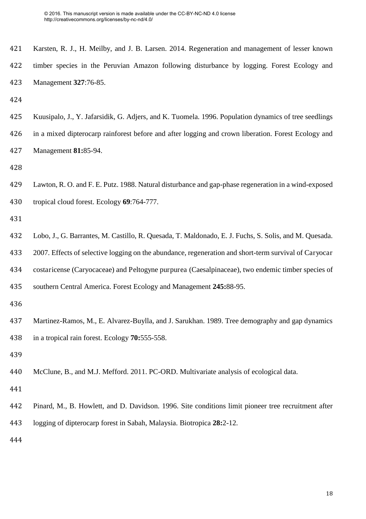| 421 | Karsten, R. J., H. Meilby, and J. B. Larsen. 2014. Regeneration and management of lesser known |
|-----|------------------------------------------------------------------------------------------------|
| 422 | timber species in the Peruvian Amazon following disturbance by logging. Forest Ecology and     |
| 423 | Management 327:76-85.                                                                          |

 Kuusipalo, J., Y. Jafarsidik, G. Adjers, and K. Tuomela. 1996. Population dynamics of tree seedlings in a mixed dipterocarp rainforest before and after logging and crown liberation. Forest Ecology and Management **81:**85-94.

 Lawton, R. O. and F. E. Putz. 1988. Natural disturbance and gap-phase regeneration in a wind-exposed tropical cloud forest. Ecology **69**:764-777.

Lobo, J., G. Barrantes, M. Castillo, R. Quesada, T. Maldonado, E. J. Fuchs, S. Solis, and M. Quesada.

2007. Effects of selective logging on the abundance, regeneration and short-term survival of Caryocar

costaricense (Caryocaceae) and Peltogyne purpurea (Caesalpinaceae), two endemic timber species of

southern Central America. Forest Ecology and Management **245:**88-95.

- Martinez-Ramos, M., E. Alvarez-Buylla, and J. Sarukhan. 1989. Tree demography and gap dynamics in a tropical rain forest. Ecology **70:**555-558.
- 

McClune, B., and M.J. Mefford. 2011. PC-ORD. Multivariate analysis of ecological data.

 Pinard, M., B. Howlett, and D. Davidson. 1996. Site conditions limit pioneer tree recruitment after logging of dipterocarp forest in Sabah, Malaysia. Biotropica **28:**2-12.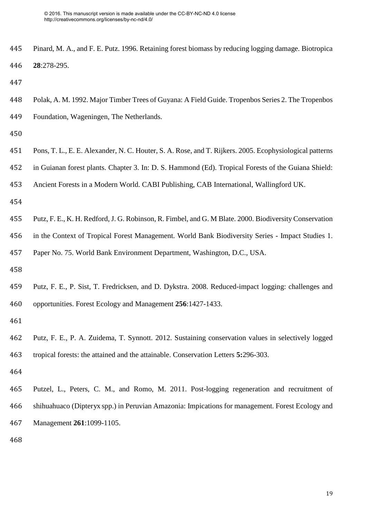- Pinard, M. A., and F. E. Putz. 1996. Retaining forest biomass by reducing logging damage. Biotropica **28**:278-295.
- 
- Polak, A. M. 1992. Major Timber Trees of Guyana: A Field Guide. Tropenbos Series 2. The Tropenbos Foundation, Wageningen, The Netherlands.
- 
- Pons, T. L., E. E. Alexander, N. C. Houter, S. A. Rose, and T. Rijkers. 2005. Ecophysiological patterns
- in Guianan forest plants. Chapter 3. In: D. S. Hammond (Ed). Tropical Forests of the Guiana Shield:
- Ancient Forests in a Modern World. CABI Publishing, CAB International, Wallingford UK.
- 
- Putz, F. E., K. H. Redford, J. G. Robinson, R. Fimbel, and G. M Blate. 2000. Biodiversity Conservation
- in the Context of Tropical Forest Management. World Bank Biodiversity Series Impact Studies 1.
- Paper No. 75. World Bank Environment Department, Washington, D.C., USA.
- 
- Putz, F. E., P. Sist, T. Fredricksen, and D. Dykstra. 2008. Reduced-impact logging: challenges and opportunities. Forest Ecology and Management **256**:1427-1433.
- 
- Putz, F. E., P. A. Zuidema, T. Synnott. 2012. Sustaining conservation values in selectively logged tropical forests: the attained and the attainable. Conservation Letters **5:**296-303.
- 
- Putzel, L., Peters, C. M., and Romo, M. 2011. Post-logging regeneration and recruitment of shihuahuaco (Dipteryx spp.) in Peruvian Amazonia: Impications for management. Forest Ecology and Management **261**:1099-1105.
-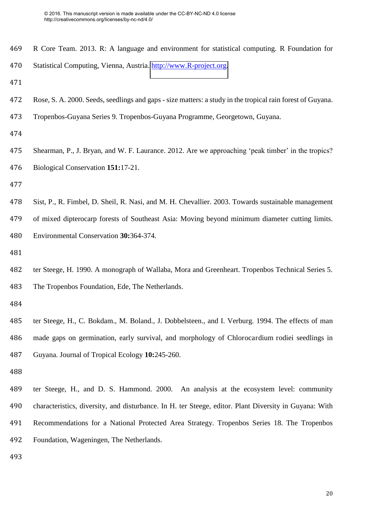- R Core Team. 2013. R: A language and environment for statistical computing. R Foundation for Statistical Computing, Vienna, Austria. [http://www.R-project.org.](http://www.r-project.org/)
- 
- Rose, S. A. 2000. Seeds, seedlings and gaps size matters: a study in the tropical rain forest of Guyana.
- Tropenbos-Guyana Series 9. Tropenbos-Guyana Programme, Georgetown, Guyana.
- 
- Shearman, P., J. Bryan, and W. F. Laurance. 2012. Are we approaching 'peak timber' in the tropics? Biological Conservation **151:**17-21.
- 
- Sist, P., R. Fimbel, D. Sheil, R. Nasi, and M. H. Chevallier. 2003. Towards sustainable management of mixed dipterocarp forests of Southeast Asia: Moving beyond minimum diameter cutting limits. Environmental Conservation **30:**364-374.
- 
- ter Steege, H. 1990. A monograph of Wallaba, Mora and Greenheart. Tropenbos Technical Series 5. The Tropenbos Foundation, Ede, The Netherlands.
- 
- ter Steege, H., C. Bokdam., M. Boland., J. Dobbelsteen., and I. Verburg. 1994. The effects of man made gaps on germination, early survival, and morphology of Chlorocardium rodiei seedlings in Guyana. Journal of Tropical Ecology **10:**245-260.
- 
- ter Steege, H., and D. S. Hammond. 2000. An analysis at the ecosystem level: community characteristics, diversity, and disturbance. In H. ter Steege, editor. Plant Diversity in Guyana: With Recommendations for a National Protected Area Strategy. Tropenbos Series 18. The Tropenbos Foundation, Wageningen, The Netherlands.
-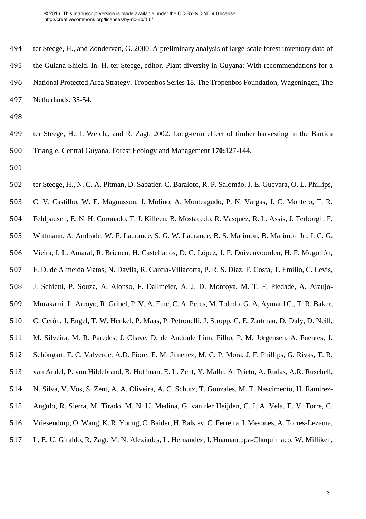- ter Steege, H., and Zondervan, G. 2000. A preliminary analysis of large-scale forest inventory data of
- the Guiana Shield. In. H. ter Steege, editor. Plant diversity in Guyana: With recommendations for a
- National Protected Area Strategy. Tropenbos Series 18. The Tropenbos Foundation, Wageningen, The
- Netherlands. 35-54.
- 
- ter Steege, H., I. Welch., and R. Zagt. 2002. Long-term effect of timber harvesting in the Bartica Triangle, Central Guyana. Forest Ecology and Management **170:**127-144.
- 
- ter Steege, H., N. C. A. Pitman, D. Sabatier, C. Baraloto, R. P. Salomão, J. E. Guevara, O. L. Phillips,
- C. V. Castilho, W. E. Magnusson, J. Molino, A. Monteagudo, P. N. Vargas, J. C. Montero, T. R.
- Feldpausch, E. N. H. Coronado, T. J. Killeen, B. Mostacedo, R. Vasquez, R. L. Assis, J. Terborgh, F.
- Wittmann, A. Andrade, W. F. Laurance, S. G. W. Laurance, B. S. Marimon, B. Marimon Jr., I. C. G.
- Vieira, I. L. Amaral, R. Brienen, H. Castellanos, D. C. López, J. F. Duivenvoorden, H. F. Mogollón,
- F. D. de Almeida Matos, N. Dávila, R. García-Villacorta, P. R. S. Diaz, F. Costa, T. Emilio, C. Levis,
- J. Schietti, P. Souza, A. Alonso, F. Dallmeier, A. J. D. Montoya, M. T. F. Piedade, A. Araujo-
- Murakami, L. Arroyo, R. Gribel, P. V. A. Fine, C. A. Peres, M. Toledo, G. A. Aymard C., T. R. Baker,
- C. Cerón, J. Engel, T. W. Henkel, P. Maas, P. Petronelli, J. Stropp, C. E. Zartman, D. Daly, D. Neill,
- M. Silveira, M. R. Paredes, J. Chave, D. de Andrade Lima Filho, P. M. Jørgensen, A. Fuentes, J.
- Schöngart, F. C. Valverde, A.D. Fiore, E. M. Jimenez, M. C. P. Mora, J. F. Phillips, G. Rivas, T. R.
- van Andel, P. von Hildebrand, B. Hoffman, E. L. Zent, Y. Malhi, A. Prieto, A. Rudas, A.R. Ruschell,
- N. Silva, V. Vos, S. Zent, A. A. Oliveira, A. C. Schutz, T. Gonzales, M. T. Nascimento, H. Ramirez-
- Angulo, R. Sierra, M. Tirado, M. N. U. Medina, G. van der Heijden, C. I. A. Vela, E. V. Torre, C.
- Vriesendorp, O. Wang, K. R. Young, C. Baider, H. Balslev, C. Ferreira, I. Mesones, A. Torres-Lezama,
- L. E. U. Giraldo, R. Zagt, M. N. Alexiades, L. Hernandez, I. Huamantupa-Chuquimaco, W. Milliken,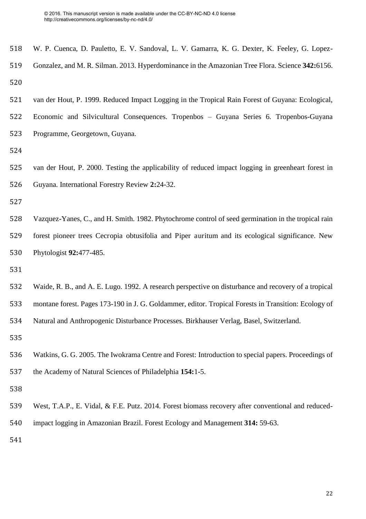| 518 | W. P. Cuenca, D. Pauletto, E. V. Sandoval, L. V. Gamarra, K. G. Dexter, K. Feeley, G. Lopez-         |
|-----|------------------------------------------------------------------------------------------------------|
| 519 | Gonzalez, and M. R. Silman. 2013. Hyperdominance in the Amazonian Tree Flora. Science 342:6156.      |
| 520 |                                                                                                      |
| 521 | van der Hout, P. 1999. Reduced Impact Logging in the Tropical Rain Forest of Guyana: Ecological,     |
| 522 | Economic and Silvicultural Consequences. Tropenbos - Guyana Series 6. Tropenbos-Guyana               |
| 523 | Programme, Georgetown, Guyana.                                                                       |
| 524 |                                                                                                      |
| 525 | van der Hout, P. 2000. Testing the applicability of reduced impact logging in greenheart forest in   |
| 526 | Guyana. International Forestry Review 2:24-32.                                                       |
| 527 |                                                                                                      |
| 528 | Vazquez-Yanes, C., and H. Smith. 1982. Phytochrome control of seed germination in the tropical rain  |
| 529 | forest pioneer trees Cecropia obtusifolia and Piper auritum and its ecological significance. New     |
| 530 | Phytologist 92:477-485.                                                                              |
| 531 |                                                                                                      |
| 532 | Waide, R. B., and A. E. Lugo. 1992. A research perspective on disturbance and recovery of a tropical |
| 533 | montane forest. Pages 173-190 in J. G. Goldammer, editor. Tropical Forests in Transition: Ecology of |
| 534 | Natural and Anthropogenic Disturbance Processes. Birkhauser Verlag, Basel, Switzerland.              |
| 535 |                                                                                                      |
| 536 | Watkins, G. G. 2005. The Iwokrama Centre and Forest: Introduction to special papers. Proceedings of  |
| 537 | the Academy of Natural Sciences of Philadelphia 154:1-5.                                             |
| 538 |                                                                                                      |
| 539 | West, T.A.P., E. Vidal, & F.E. Putz. 2014. Forest biomass recovery after conventional and reduced-   |
| 540 | impact logging in Amazonian Brazil. Forest Ecology and Management 314: 59-63.                        |
| 541 |                                                                                                      |
|     |                                                                                                      |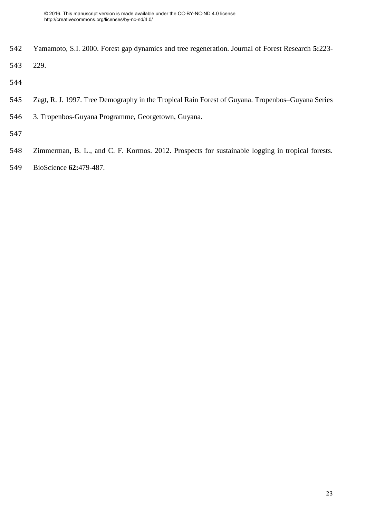- Yamamoto, S.I. 2000. Forest gap dynamics and tree regeneration. Journal of Forest Research **5:**223-
- 229.
- 
- Zagt, R. J. 1997. Tree Demography in the Tropical Rain Forest of Guyana. Tropenbos–Guyana Series
- 3. Tropenbos-Guyana Programme, Georgetown, Guyana.
- 
- Zimmerman, B. L., and C. F. Kormos. 2012. Prospects for sustainable logging in tropical forests.
- BioScience **62:**479-487.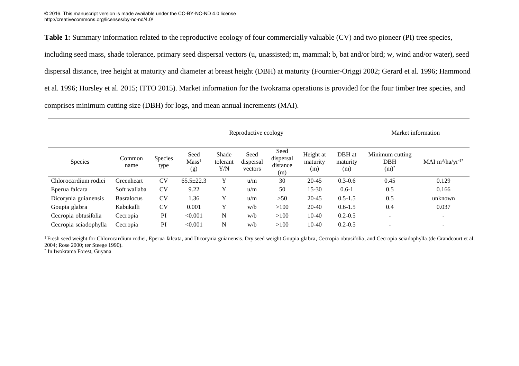**Table 1:** Summary information related to the reproductive ecology of four commercially valuable (CV) and two pioneer (PI) tree species, including seed mass, shade tolerance, primary seed dispersal vectors (u, unassisted; m, mammal; b, bat and/or bird; w, wind and/or water), seed dispersal distance, tree height at maturity and diameter at breast height (DBH) at maturity (Fournier-Origgi 2002; Gerard et al. 1996; Hammond et al. 1996; Horsley et al. 2015; ITTO 2015). Market information for the Iwokrama operations is provided for the four timber tree species, and comprises minimum cutting size (DBH) for logs, and mean annual increments (MAI).

|                       |                   |                 |                                  |                          | Reproductive ecology         | Market information                   |                              |                           |                                      |                       |
|-----------------------|-------------------|-----------------|----------------------------------|--------------------------|------------------------------|--------------------------------------|------------------------------|---------------------------|--------------------------------------|-----------------------|
| Species               | Common<br>name    | Species<br>type | Seed<br>Mass <sup>1</sup><br>(g) | Shade<br>tolerant<br>Y/N | Seed<br>dispersal<br>vectors | Seed<br>dispersal<br>distance<br>(m) | Height at<br>maturity<br>(m) | DBH at<br>maturity<br>(m) | Minimum cutting<br><b>DBH</b><br>(m) | MAI $m^3/ha/yr^{-1*}$ |
| Chlorocardium rodiei  | Greenheart        | <b>CV</b>       | $65.5 \pm 22.3$                  | Y                        | u/m                          | 30                                   | $20 - 45$                    | $0.3 - 0.6$               | 0.45                                 | 0.129                 |
| Eperua falcata        | Soft wallaba      | <b>CV</b>       | 9.22                             | Y                        | u/m                          | 50                                   | $15 - 30$                    | $0.6 - 1$                 | 0.5                                  | 0.166                 |
| Dicorynia guianensis  | <b>Basralocus</b> | <b>CV</b>       | 1.36                             | Y                        | u/m                          | >50                                  | $20 - 45$                    | $0.5 - 1.5$               | 0.5                                  | unknown               |
| Goupia glabra         | Kabukalli         | <b>CV</b>       | 0.001                            | Y                        | w/b                          | >100                                 | $20 - 40$                    | $0.6 - 1.5$               | 0.4                                  | 0.037                 |
| Cecropia obtusifolia  | Cecropia          | PI              | < 0.001                          | N                        | w/b                          | >100                                 | $10-40$                      | $0.2 - 0.5$               | $\overline{\phantom{a}}$             | $\sim$                |
| Cecropia sciadophylla | Cecropia          | PI              | < 0.001                          | N                        | w/b                          | >100                                 | $10-40$                      | $0.2 - 0.5$               | $\overline{\phantom{0}}$             | $\qquad \qquad$       |

<sup>1</sup> Fresh seed weight for Chlorocardium rodiei, Eperua falcata, and Dicorynia guianensis. Dry seed weight Goupia glabra, Cecropia obtusifolia, and Cecropia sciadophylla.(de Grandcourt et al. 2004; Rose 2000; ter Steege 1990).

\* In Iwokrama Forest, Guyana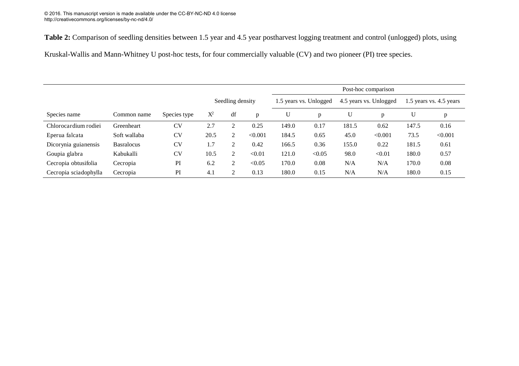**Table 2:** Comparison of seedling densities between 1.5 year and 4.5 year postharvest logging treatment and control (unlogged) plots, using

Kruskal-Wallis and Mann-Whitney U post-hoc tests, for four commercially valuable (CV) and two pioneer (PI) tree species.

|                       |                   |              |       |                  |         | Post-hoc comparison |                        |       |                        |       |                             |
|-----------------------|-------------------|--------------|-------|------------------|---------|---------------------|------------------------|-------|------------------------|-------|-----------------------------|
|                       |                   |              |       | Seedling density |         |                     | 1.5 years vs. Unlogged |       | 4.5 years vs. Unlogged |       | $1.5$ years vs. $4.5$ years |
| Species name          | Common name       | Species type | $X^2$ | df               | p       | U                   | p                      | U     | p                      | U     | p                           |
| Chlorocardium rodiei  | Greenheart        | CV           | 2.7   | 2                | 0.25    | 149.0               | 0.17                   | 181.5 | 0.62                   | 147.5 | 0.16                        |
| Eperua falcata        | Soft wallaba      | <b>CV</b>    | 20.5  | $\overline{2}$   | < 0.001 | 184.5               | 0.65                   | 45.0  | < 0.001                | 73.5  | < 0.001                     |
| Dicorynia guianensis  | <b>Basralocus</b> | <b>CV</b>    | 1.7   | 2                | 0.42    | 166.5               | 0.36                   | 155.0 | 0.22                   | 181.5 | 0.61                        |
| Goupia glabra         | Kabukalli         | <b>CV</b>    | 10.5  | 2                | < 0.01  | 121.0               | < 0.05                 | 98.0  | < 0.01                 | 180.0 | 0.57                        |
| Cecropia obtusifolia  | Cecropia          | PI           | 6.2   | 2                | < 0.05  | 170.0               | 0.08                   | N/A   | N/A                    | 170.0 | 0.08                        |
| Cecropia sciadophylla | Cecropia          | PI           | 4.1   | 2                | 0.13    | 180.0               | 0.15                   | N/A   | N/A                    | 180.0 | 0.15                        |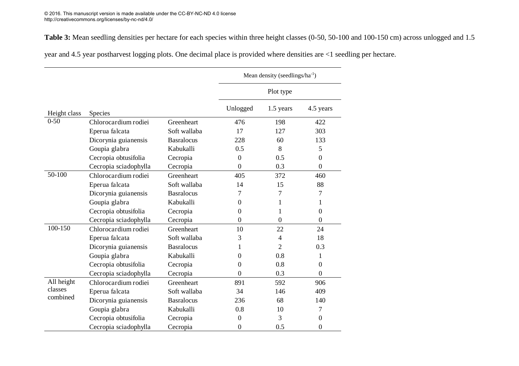Table 3: Mean seedling densities per hectare for each species within three height classes (0-50, 50-100 and 100-150 cm) across unlogged and 1.5

year and 4.5 year postharvest logging plots. One decimal place is provided where densities are <1 seedling per hectare.

|              |                       |                   | Mean density (seedlings/ $ha^{-1}$ ) |                |                  |  |  |
|--------------|-----------------------|-------------------|--------------------------------------|----------------|------------------|--|--|
|              |                       |                   |                                      | Plot type      |                  |  |  |
| Height class | Species               |                   | Unlogged                             | 1.5 years      | 4.5 years        |  |  |
| $0 - 50$     | Chlorocardium rodiei  | Greenheart        | 476                                  | 198            | 422              |  |  |
|              | Eperua falcata        | Soft wallaba      | 17                                   | 127            | 303              |  |  |
|              | Dicorynia guianensis  | <b>Basralocus</b> | 228                                  | 60             | 133              |  |  |
|              | Goupia glabra         | Kabukalli         | 0.5                                  | 8              | 5                |  |  |
|              | Cecropia obtusifolia  | Cecropia          | $\boldsymbol{0}$                     | 0.5            | $\boldsymbol{0}$ |  |  |
|              | Cecropia sciadophylla | Cecropia          | $\overline{0}$                       | 0.3            | $\mathbf{0}$     |  |  |
| 50-100       | Chlorocardium rodiei  | Greenheart        | 405                                  | 372            | 460              |  |  |
|              | Eperua falcata        | Soft wallaba      | 14                                   | 15             | 88               |  |  |
|              | Dicorynia guianensis  | <b>Basralocus</b> | 7                                    | 7              | 7                |  |  |
|              | Goupia glabra         | Kabukalli         | $\boldsymbol{0}$                     | 1              | 1                |  |  |
|              | Cecropia obtusifolia  | Cecropia          | 0                                    | 1              | $\boldsymbol{0}$ |  |  |
|              | Cecropia sciadophylla | Cecropia          | 0                                    | $\Omega$       | $\mathbf{0}$     |  |  |
| 100-150      | Chlorocardium rodiei  | Greenheart        | 10                                   | 22             | 24               |  |  |
|              | Eperua falcata        | Soft wallaba      | 3                                    | $\overline{4}$ | 18               |  |  |
|              | Dicorynia guianensis  | <b>Basralocus</b> | 1                                    | $\overline{2}$ | 0.3              |  |  |
|              | Goupia glabra         | Kabukalli         | 0                                    | 0.8            | 1                |  |  |
|              | Cecropia obtusifolia  | Cecropia          | 0                                    | 0.8            | $\mathbf{0}$     |  |  |
|              | Cecropia sciadophylla | Cecropia          | $\theta$                             | 0.3            | $\mathbf{0}$     |  |  |
| All height   | Chlorocardium rodiei  | Greenheart        | 891                                  | 592            | 906              |  |  |
| classes      | Eperua falcata        | Soft wallaba      | 34                                   | 146            | 409              |  |  |
| combined     | Dicorynia guianensis  | <b>Basralocus</b> | 236                                  | 68             | 140              |  |  |
|              | Goupia glabra         | Kabukalli         | 0.8                                  | 10             | 7                |  |  |
|              | Cecropia obtusifolia  | Cecropia          | $\boldsymbol{0}$                     | 3              | $\boldsymbol{0}$ |  |  |
|              | Cecropia sciadophylla | Cecropia          | $\mathbf{0}$                         | 0.5            | $\mathbf{0}$     |  |  |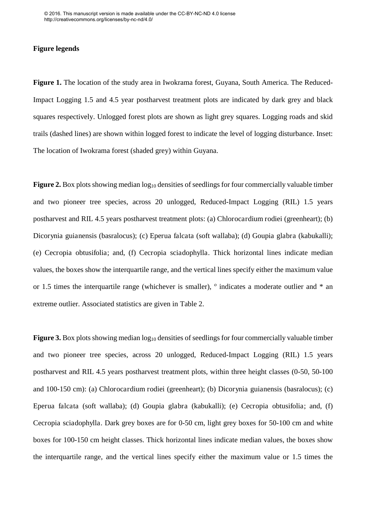### **Figure legends**

**Figure 1.** The location of the study area in Iwokrama forest, Guyana, South America. The Reduced-Impact Logging 1.5 and 4.5 year postharvest treatment plots are indicated by dark grey and black squares respectively. Unlogged forest plots are shown as light grey squares. Logging roads and skid trails (dashed lines) are shown within logged forest to indicate the level of logging disturbance. Inset: The location of Iwokrama forest (shaded grey) within Guyana.

**Figure 2.** Box plots showing median  $log_{10}$  densities of seedlings for four commercially valuable timber and two pioneer tree species, across 20 unlogged, Reduced-Impact Logging (RIL) 1.5 years postharvest and RIL 4.5 years postharvest treatment plots: (a) Chlorocardium rodiei (greenheart); (b) Dicorynia guianensis (basralocus); (c) Eperua falcata (soft wallaba); (d) Goupia glabra (kabukalli); (e) Cecropia obtusifolia; and, (f) Cecropia sciadophylla. Thick horizontal lines indicate median values, the boxes show the interquartile range, and the vertical lines specify either the maximum value or 1.5 times the interquartile range (whichever is smaller),  $\degree$  indicates a moderate outlier and  $*$  an extreme outlier. Associated statistics are given in Table 2.

**Figure 3.** Box plots showing median  $log_{10}$  densities of seedlings for four commercially valuable timber and two pioneer tree species, across 20 unlogged, Reduced-Impact Logging (RIL) 1.5 years postharvest and RIL 4.5 years postharvest treatment plots, within three height classes (0-50, 50-100 and 100-150 cm): (a) Chlorocardium rodiei (greenheart); (b) Dicorynia guianensis (basralocus); (c) Eperua falcata (soft wallaba); (d) Goupia glabra (kabukalli); (e) Cecropia obtusifolia; and, (f) Cecropia sciadophylla. Dark grey boxes are for 0-50 cm, light grey boxes for 50-100 cm and white boxes for 100-150 cm height classes. Thick horizontal lines indicate median values, the boxes show the interquartile range, and the vertical lines specify either the maximum value or 1.5 times the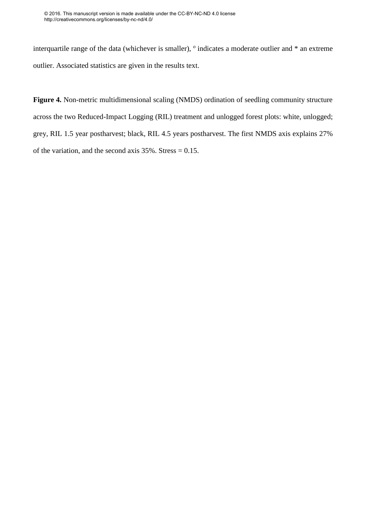interquartile range of the data (whichever is smaller),  $\circ$  indicates a moderate outlier and  $*$  an extreme outlier. Associated statistics are given in the results text.

**Figure 4.** Non-metric multidimensional scaling (NMDS) ordination of seedling community structure across the two Reduced-Impact Logging (RIL) treatment and unlogged forest plots: white, unlogged; grey, RIL 1.5 year postharvest; black, RIL 4.5 years postharvest. The first NMDS axis explains 27% of the variation, and the second axis 35%. Stress = 0.15.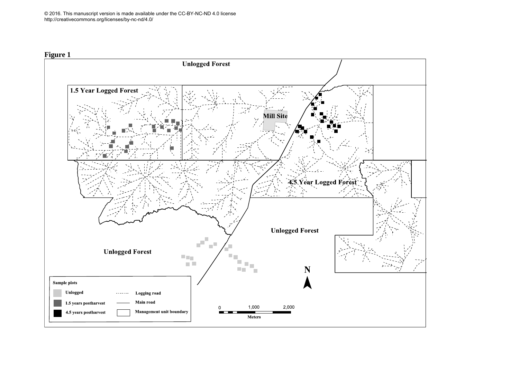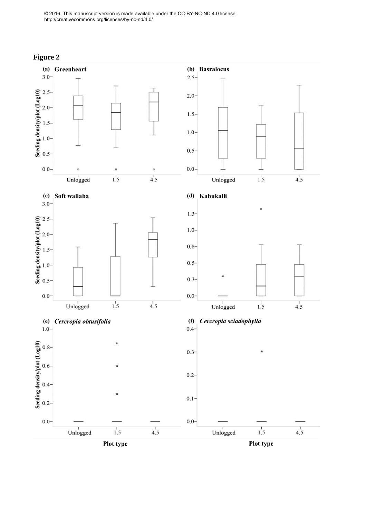

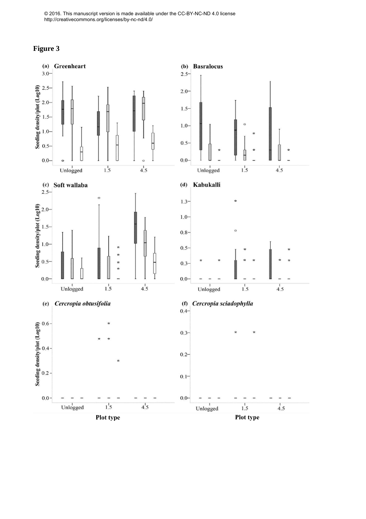